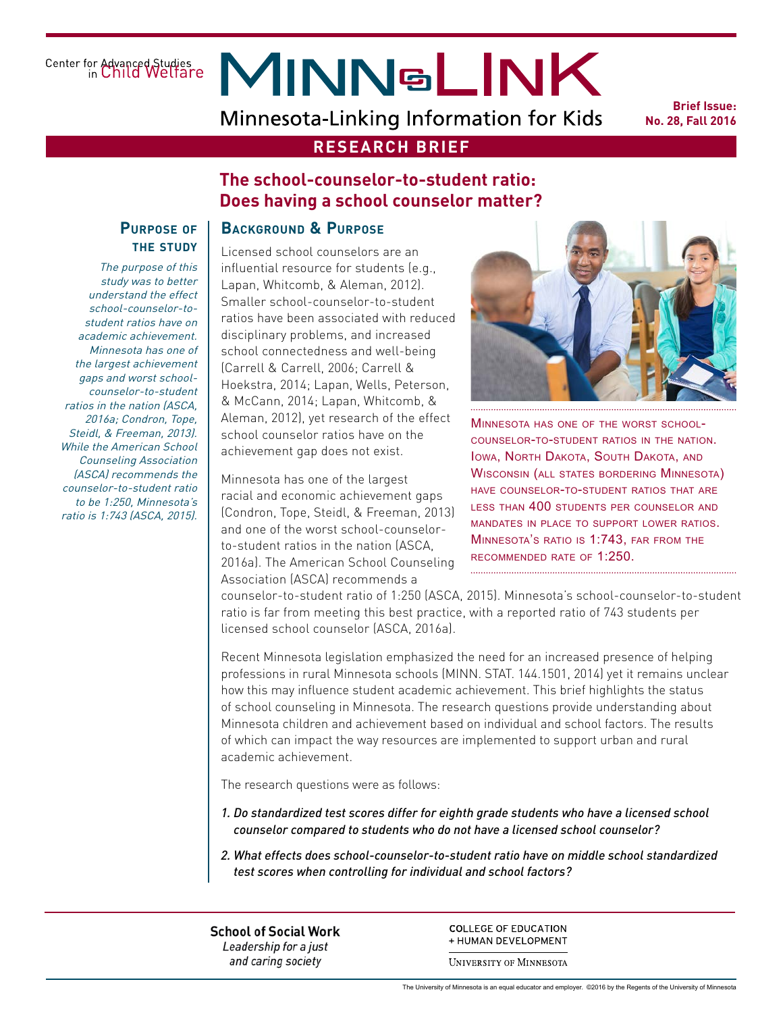Center for Advanced Studies<br>in Child Welfare

# **MINNSLINK**

Minnesota-Linking Information for Kids

**Brief Issue: No. 28, Fall 2016**

## **RESEARCH BRIEF**

## **The school-counselor-to-student ratio: Does having a school counselor matter?**

#### **Purpose of the study**

The purpose of this study was to better understand the effect school-counselor-tostudent ratios have on academic achievement. Minnesota has one of the largest achievement gaps and worst schoolcounselor-to-student ratios in the nation (ASCA, 2016a; Condron, Tope, Steidl, & Freeman, 2013). While the American School Counseling Association (ASCA) recommends the counselor-to-student ratio to be 1:250, Minnesota's ratio is 1:743 (ASCA, 2015).

# **Background & Purpose**

Licensed school counselors are an influential resource for students (e.g., Lapan, Whitcomb, & Aleman, 2012). Smaller school-counselor-to-student ratios have been associated with reduced disciplinary problems, and increased school connectedness and well-being (Carrell & Carrell, 2006; Carrell & Hoekstra, 2014; Lapan, Wells, Peterson, & McCann, 2014; Lapan, Whitcomb, & Aleman, 2012), yet research of the effect school counselor ratios have on the achievement gap does not exist.

Minnesota has one of the largest racial and economic achievement gaps (Condron, Tope, Steidl, & Freeman, 2013) and one of the worst school-counselorto-student ratios in the nation (ASCA, 2016a). The American School Counseling Association (ASCA) recommends a



Minnesota has one of the worst schoolcounselor-to-student ratios in the nation. Iowa, North Dakota, South Dakota, and Wisconsin (all states bordering Minnesota) have counselor-to-student ratios that are less than 400 students per counselor and mandates in place to support lower ratios. Minnesota's ratio is 1:743, far from the recommended rate of 1:250.

counselor-to-student ratio of 1:250 (ASCA, 2015). Minnesota's school-counselor-to-student ratio is far from meeting this best practice, with a reported ratio of 743 students per licensed school counselor (ASCA, 2016a).

Recent Minnesota legislation emphasized the need for an increased presence of helping professions in rural Minnesota schools (MINN. STAT. 144.1501, 2014) yet it remains unclear how this may influence student academic achievement. This brief highlights the status of school counseling in Minnesota. The research questions provide understanding about Minnesota children and achievement based on individual and school factors. The results of which can impact the way resources are implemented to support urban and rural academic achievement.

The research questions were as follows:

- *1. Do standardized test scores differ for eighth grade students who have a licensed school counselor compared to students who do not have a licensed school counselor?*
- *2. What effects does school-counselor-to-student ratio have on middle school standardized test scores when controlling for individual and school factors?*

**School of Social Work** Leadership for a just and caring society

**COLLEGE OF EDUCATION** + HUMAN DEVELOPMENT

**UNIVERSITY OF MINNESOTA**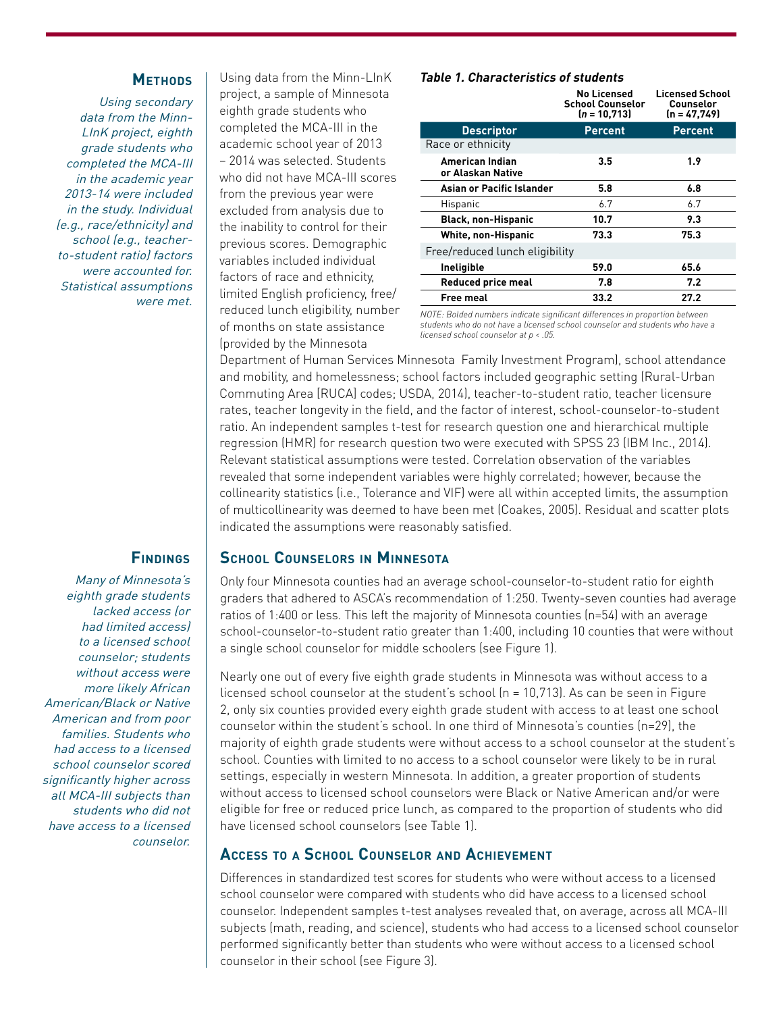#### **Methods**

Using secondary data from the Minn-LInK project, eighth grade students who completed the MCA-III in the academic year 2013-14 were included in the study. Individual (e.g., race/ethnicity) and school (e.g., teacherto-student ratio) factors were accounted for. Statistical assumptions were met.

Using data from the Minn-LInK project, a sample of Minnesota eighth grade students who completed the MCA-III in the academic school year of 2013 – 2014 was selected. Students who did not have MCA-III scores from the previous year were excluded from analysis due to the inability to control for their previous scores. Demographic variables included individual factors of race and ethnicity, limited English proficiency, free/ reduced lunch eligibility, number of months on state assistance (provided by the Minnesota

#### **Table 1. Characteristics of students**

|                                      | <b>No Licensed</b><br><b>School Counselor</b><br>$(n = 10, 713)$ | <b>Licensed School</b><br>Counselor<br>$(n = 47, 749)$ |
|--------------------------------------|------------------------------------------------------------------|--------------------------------------------------------|
| <b>Descriptor</b>                    | <b>Percent</b>                                                   | <b>Percent</b>                                         |
| Race or ethnicity                    |                                                                  |                                                        |
| American Indian<br>or Alaskan Native | 3.5                                                              | 1.9                                                    |
| Asian or Pacific Islander            | 5.8                                                              | 6.8                                                    |
| Hispanic                             | 6.7                                                              | 6.7                                                    |
| <b>Black, non-Hispanic</b>           | 10.7                                                             | 9.3                                                    |
| <b>White, non-Hispanic</b>           | 73.3                                                             | 75.3                                                   |
| Free/reduced lunch eligibility       |                                                                  |                                                        |
| Ineligible                           | 59.0                                                             | 65.6                                                   |
| <b>Reduced price meal</b>            | 7.8                                                              | 7.2                                                    |
| <b>Free meal</b>                     | 33.2                                                             | 27.2                                                   |
|                                      |                                                                  |                                                        |

*NOTE: Bolded numbers indicate significant differences in proportion between students who do not have a licensed school counselor and students who have a licensed school counselor at p < .05.*

Department of Human Services Minnesota Family Investment Program), school attendance and mobility, and homelessness; school factors included geographic setting (Rural-Urban Commuting Area [RUCA] codes; USDA, 2014), teacher-to-student ratio, teacher licensure rates, teacher longevity in the field, and the factor of interest, school-counselor-to-student ratio. An independent samples t-test for research question one and hierarchical multiple regression (HMR) for research question two were executed with SPSS 23 (IBM Inc., 2014). Relevant statistical assumptions were tested. Correlation observation of the variables revealed that some independent variables were highly correlated; however, because the collinearity statistics (i.e., Tolerance and VIF) were all within accepted limits, the assumption of multicollinearity was deemed to have been met (Coakes, 2005). Residual and scatter plots indicated the assumptions were reasonably satisfied.

#### **School Counselors in Minnesota**

Only four Minnesota counties had an average school-counselor-to-student ratio for eighth graders that adhered to ASCA's recommendation of 1:250. Twenty-seven counties had average ratios of 1:400 or less. This left the majority of Minnesota counties (n=54) with an average school-counselor-to-student ratio greater than 1:400, including 10 counties that were without a single school counselor for middle schoolers (see Figure 1).

Nearly one out of every five eighth grade students in Minnesota was without access to a licensed school counselor at the student's school  $(n = 10,713)$ . As can be seen in Figure 2, only six counties provided every eighth grade student with access to at least one school counselor within the student's school. In one third of Minnesota's counties (n=29), the majority of eighth grade students were without access to a school counselor at the student's school. Counties with limited to no access to a school counselor were likely to be in rural settings, especially in western Minnesota. In addition, a greater proportion of students without access to licensed school counselors were Black or Native American and/or were eligible for free or reduced price lunch, as compared to the proportion of students who did have licensed school counselors (see Table 1).

#### **Access to a School Counselor and Achievement**

Differences in standardized test scores for students who were without access to a licensed school counselor were compared with students who did have access to a licensed school counselor. Independent samples t-test analyses revealed that, on average, across all MCA-III subjects (math, reading, and science), students who had access to a licensed school counselor performed significantly better than students who were without access to a licensed school counselor in their school (see Figure 3).

## **Findings**

Many of Minnesota's eighth grade students lacked access (or had limited access) to a licensed school counselor; students without access were more likely African American/Black or Native American and from poor families. Students who had access to a licensed school counselor scored significantly higher across all MCA-III subjects than students who did not have access to a licensed counselor.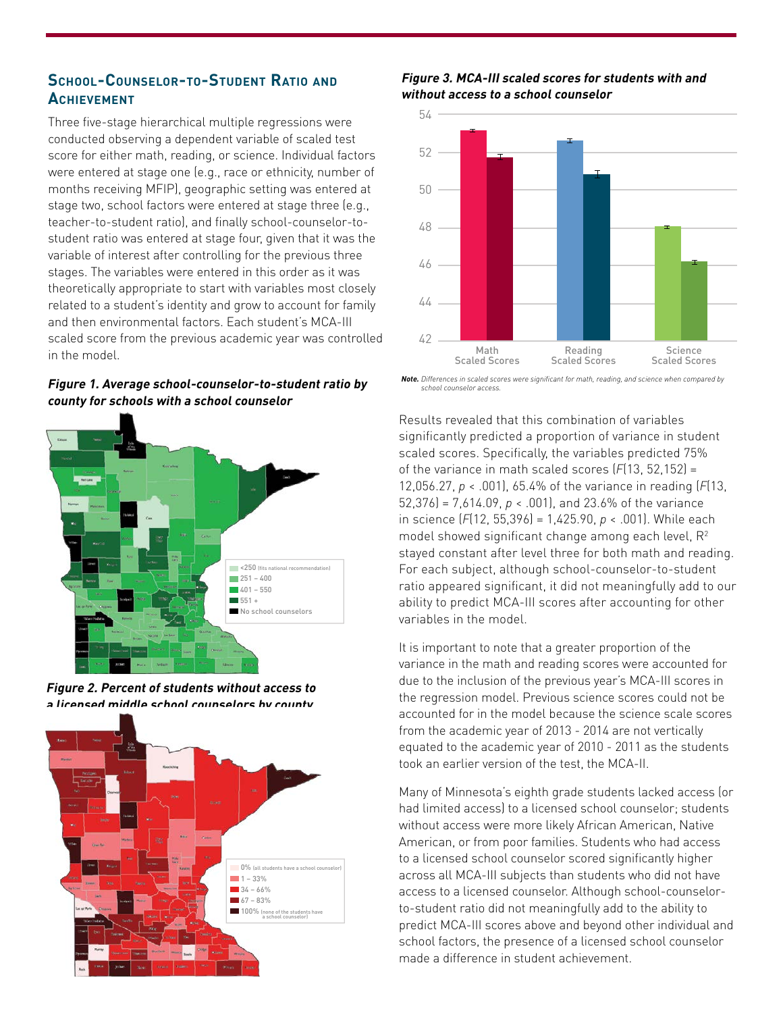## **School-Counselor-to-Student Ratio and Achievement**

Three five-stage hierarchical multiple regressions were conducted observing a dependent variable of scaled test score for either math, reading, or science. Individual factors were entered at stage one (e.g., race or ethnicity, number of months receiving MFIP), geographic setting was entered at stage two, school factors were entered at stage three (e.g., teacher-to-student ratio), and finally school-counselor-tostudent ratio was entered at stage four, given that it was the variable of interest after controlling for the previous three stages. The variables were entered in this order as it was theoretically appropriate to start with variables most closely related to a student's identity and grow to account for family and then environmental factors. Each student's MCA-III scaled score from the previous academic year was controlled in the model.

**Figure 1. Average school-counselor-to-student ratio by county for schools with a school counselor**



**Figure 2. Percent of students without access to a licensed middle school counselors by county**



**Figure 3. MCA-III scaled scores for students with and without access to a school counselor** 



*Note. Differences in scaled scores were significant for math, reading, and science when compared by school counselor access.*

 $\sigma$ tudent For each subject, although school-counselor-to-student ratio appeared significant, it did not meaningfully add to our  $f_{\alpha}$   $\alpha$ ability to predict MCA-III scores after accounting for other Results revealed that this combination of variables significantly predicted a proportion of variance in student scaled scores. Specifically, the variables predicted 75% of the variance in math scaled scores (*F*(13, 52,152) = 12,056.27, *p* < .001), 65.4% of the variance in reading (*F*(13, 52,376) = 7,614.09, *p* < .001), and 23.6% of the variance in science (*F*(12, 55,396) = 1,425.90, *p* < .001). While each model showed significant change among each level,  $R^2$ stayed constant after level three for both math and reading. variables in the model.

It is important to note that a greater proportion of the variance in the math and reading scores were accounted for due to the inclusion of the previous year's MCA-III scores in the regression model. Previous science scores could not be accounted for in the model because the science scale scores from the academic year of 2013 - 2014 are not vertically equated to the academic year of 2010 - 2011 as the students took an earlier version of the test, the MCA-II.

Many of Minnesota's eighth grade students lacked access (or had limited access) to a licensed school counselor; students without access were more likely African American, Native American, or from poor families. Students who had access to a licensed school counselor scored significantly higher across all MCA-III subjects than students who did not have access to a licensed counselor. Although school-counselorto-student ratio did not meaningfully add to the ability to predict MCA-III scores above and beyond other individual and school factors, the presence of a licensed school counselor made a difference in student achievement.